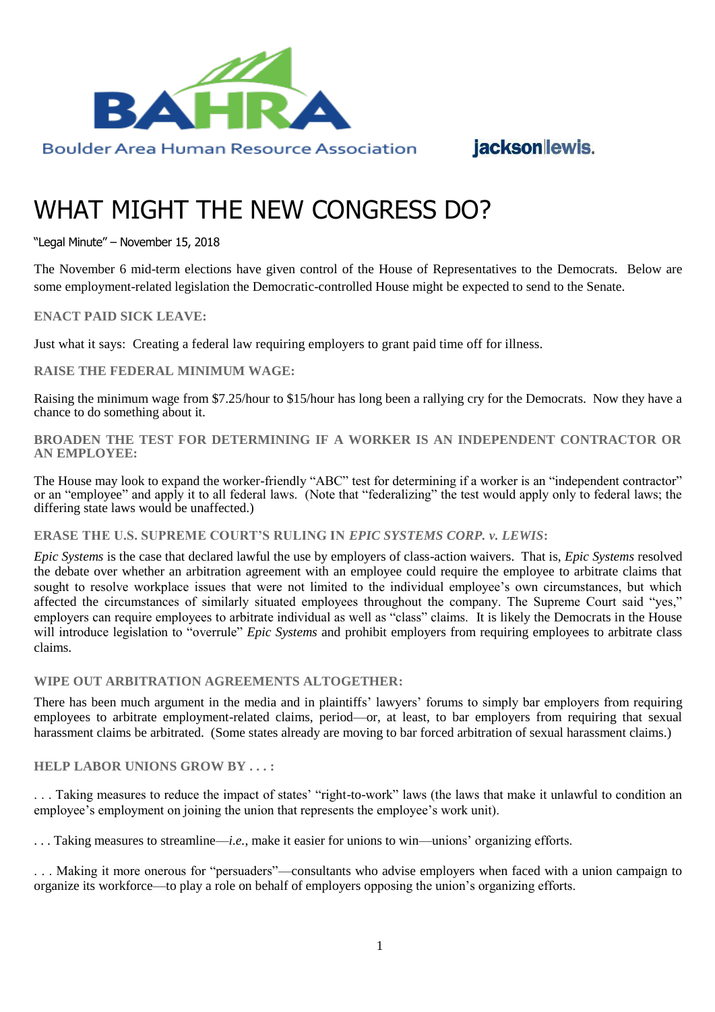

## jacksonlewis.

# WHAT MIGHT THE NEW CONGRESS DO?

"Legal Minute" – November 15, 2018

The November 6 mid-term elections have given control of the House of Representatives to the Democrats. Below are some employment-related legislation the Democratic-controlled House might be expected to send to the Senate.

## **ENACT PAID SICK LEAVE:**

Just what it says: Creating a federal law requiring employers to grant paid time off for illness.

#### **RAISE THE FEDERAL MINIMUM WAGE:**

Raising the minimum wage from \$7.25/hour to \$15/hour has long been a rallying cry for the Democrats. Now they have a chance to do something about it.

**BROADEN THE TEST FOR DETERMINING IF A WORKER IS AN INDEPENDENT CONTRACTOR OR AN EMPLOYEE:**

The House may look to expand the worker-friendly "ABC" test for determining if a worker is an "independent contractor" or an "employee" and apply it to all federal laws. (Note that "federalizing" the test would apply only to federal laws; the differing state laws would be unaffected.)

#### **ERASE THE U.S. SUPREME COURT'S RULING IN** *EPIC SYSTEMS CORP. v. LEWIS***:**

*Epic Systems* is the case that declared lawful the use by employers of class-action waivers. That is, *Epic Systems* resolved the debate over whether an arbitration agreement with an employee could require the employee to arbitrate claims that sought to resolve workplace issues that were not limited to the individual employee's own circumstances, but which affected the circumstances of similarly situated employees throughout the company. The Supreme Court said "yes," employers can require employees to arbitrate individual as well as "class" claims. It is likely the Democrats in the House will introduce legislation to "overrule" *Epic Systems* and prohibit employers from requiring employees to arbitrate class claims.

## **WIPE OUT ARBITRATION AGREEMENTS ALTOGETHER:**

There has been much argument in the media and in plaintiffs' lawyers' forums to simply bar employers from requiring employees to arbitrate employment-related claims, period—or, at least, to bar employers from requiring that sexual harassment claims be arbitrated. (Some states already are moving to bar forced arbitration of sexual harassment claims.)

#### **HELP LABOR UNIONS GROW BY . . . :**

. . . Taking measures to reduce the impact of states' "right-to-work" laws (the laws that make it unlawful to condition an employee's employment on joining the union that represents the employee's work unit).

. . . Taking measures to streamline—*i.e.*, make it easier for unions to win—unions' organizing efforts.

. . . Making it more onerous for "persuaders"—consultants who advise employers when faced with a union campaign to organize its workforce—to play a role on behalf of employers opposing the union's organizing efforts.